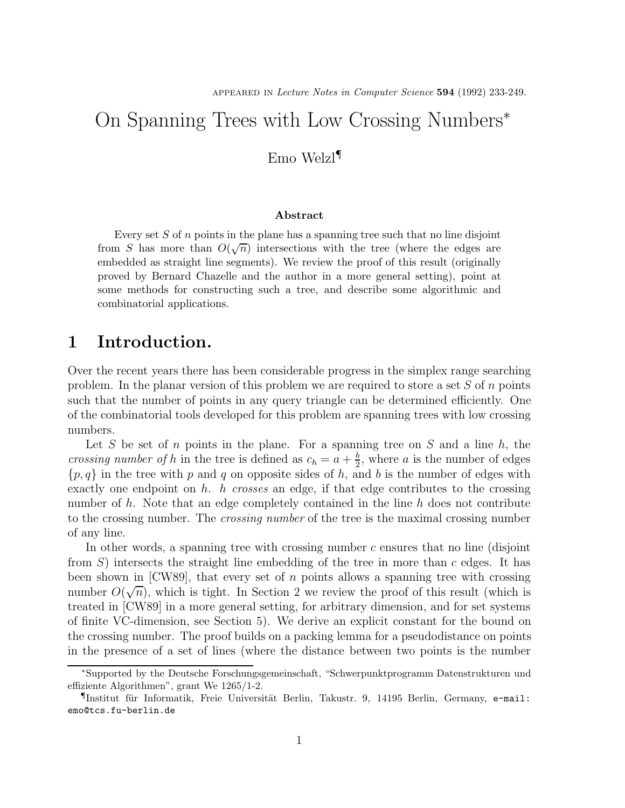# On Spanning Trees with Low Crossing Numbers<sup>∗</sup>

Emo Welzl¶

#### ${\bf Abstract}$

Every set  $S$  of  $n$  points in the plane has a spanning tree such that no line disjoint from S has more than  $O(\sqrt{n})$  intersections with the tree (where the edges are embedded as straight line segments). We review the proof of this result (originally proved by Bernard Chazelle and the author in a more general setting), point at some methods for constructing such a tree, and describe some algorithmic and combinatorial applications.

#### 1 Introduction.

Over the recent years there has been considerable progress in the simplex range searching problem. In the planar version of this problem we are required to store a set  $S$  of n points such that the number of points in any query triangle can be determined efficiently. One of the combinatorial tools developed for this problem are spanning trees with low crossing numbers.

Let S be set of n points in the plane. For a spanning tree on S and a line  $h$ , the crossing number of h in the tree is defined as  $c_h = a + \frac{b}{2}$ , where a is the number of edges  $\{p, q\}$  in the tree with p and q on opposite sides of h, and b is the number of edges with exactly one endpoint on  $h$ . h crosses an edge, if that edge contributes to the crossing number of  $h$ . Note that an edge completely contained in the line  $h$  does not contribute to the crossing number. The crossing number of the tree is the maximal crossing number of any line.

In other words, a spanning tree with crossing number  $c$  ensures that no line (disjoint from S) intersects the straight line embedding of the tree in more than c edges. It has been shown in [CW89], that every set of  $n$  points allows a spanning tree with crossing number  $O(\sqrt{n})$ , which is tight. In Section 2 we review the proof of this result (which is treated in [CW89] in a more general setting, for arbitrary dimension, and for set systems of finite VC-dimension, see Section 5). We derive an explicit constant for the bound on the crossing number. The proof builds on a packing lemma for a pseudodistance on points in the presence of a set of lines (where the distance between two points is the number

<sup>∗</sup>Supported by the Deutsche Forschungsgemeinschaft, "Schwerpunktprogramm Datenstrukturen und effiziente Algorithmen", grant We 1265/1-2.

<sup>¶</sup>Institut für Informatik, Freie Universität Berlin, Takustr. 9, 14195 Berlin, Germany, e-mail: emo@tcs.fu-berlin.de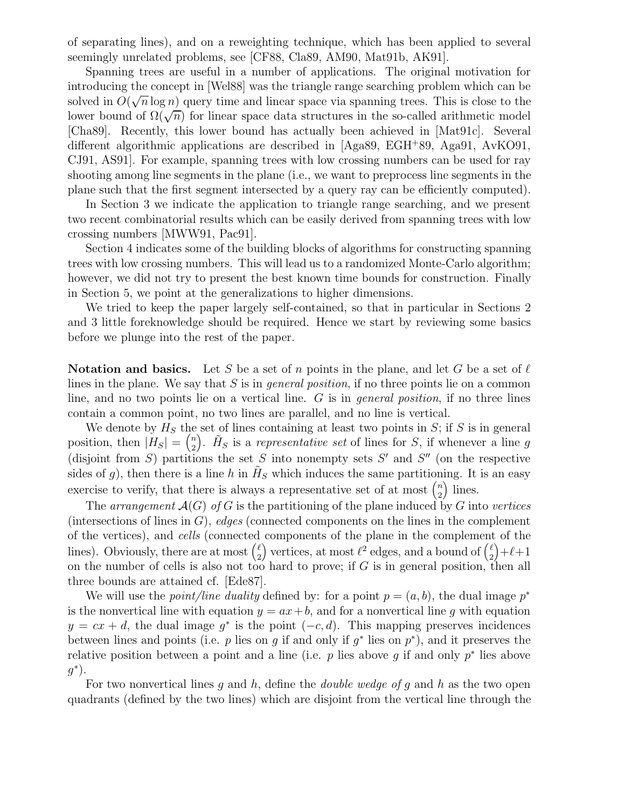of separating lines), and on a reweighting technique, which has been applied to several seemingly unrelated problems, see [CF88, Cla89, AM90, Mat91b, AK91].

Spanning trees are useful in a number of applications. The original motivation for introducing the concept in [Wel88] was the triangle range searching problem which can be solved in  $O(\sqrt{n}\log n)$  query time and linear space via spanning trees. This is close to the lower bound of  $\Omega(\sqrt{n})$  for linear space data structures in the so-called arithmetic model [Cha89]. Recently, this lower bound has actually been achieved in [Mat91c]. Several different algorithmic applications are described in [Aga89, EGH<sup>+</sup>89, Aga91, AvKO91, CJ91, AS91]. For example, spanning trees with low crossing numbers can be used for ray shooting among line segments in the plane (i.e., we want to preprocess line segments in the plane such that the first segment intersected by a query ray can be efficiently computed).

In Section 3 we indicate the application to triangle range searching, and we present two recent combinatorial results which can be easily derived from spanning trees with low crossing numbers [MWW91, Pac91].

Section 4 indicates some of the building blocks of algorithms for constructing spanning trees with low crossing numbers. This will lead us to a randomized Monte-Carlo algorithm; however, we did not try to present the best known time bounds for construction. Finally in Section 5, we point at the generalizations to higher dimensions.

We tried to keep the paper largely self-contained, so that in particular in Sections 2 and 3 little foreknowledge should be required. Hence we start by reviewing some basics before we plunge into the rest of the paper.

**Notation and basics.** Let S be a set of n points in the plane, and let G be a set of  $\ell$ lines in the plane. We say that  $S$  is in *general position*, if no three points lie on a common line, and no two points lie on a vertical line. G is in general position, if no three lines contain a common point, no two lines are parallel, and no line is vertical.

We denote by  $H<sub>S</sub>$  the set of lines containing at least two points in S; if S is in general position, then  $|H_S| = {n \choose 2}$ 2 ).  $\tilde{H}_S$  is a representative set of lines for S, if whenever a line g (disjoint from S) partitions the set S into nonempty sets  $S'$  and  $S''$  (on the respective sides of g), then there is a line h in  $\tilde{H}_S$  which induces the same partitioning. It is an easy exercise to verify, that there is always a representative set of at most  $\binom{n}{2}$ 2  $\big)$  lines.

The arrangement  $\mathcal{A}(G)$  of G is the partitioning of the plane induced by G into vertices (intersections of lines in  $G$ ), *edges* (connected components on the lines in the complement of the vertices), and cells (connected components of the plane in the complement of the lines). Obviously, there are at most  $\binom{\ell}{2}$ 2 ) vertices, at most  $\ell^2$  edges, and a bound of  $\binom{\ell}{2}$  $)+\ell+1$ on the number of cells is also not too hard to prove; if G is in general position, then all three bounds are attained cf. [Ede87].

We will use the *point/line duality* defined by: for a point  $p = (a, b)$ , the dual image  $p^*$ is the nonvertical line with equation  $y = ax + b$ , and for a nonvertical line g with equation  $y = cx + d$ , the dual image  $g^*$  is the point  $(-c, d)$ . This mapping preserves incidences between lines and points (i.e. p lies on g if and only if  $g^*$  lies on  $p^*$ ), and it preserves the relative position between a point and a line (i.e. p lies above g if and only  $p^*$  lies above  $g^*$ ).

For two nonvertical lines g and h, define the *double wedge of g* and h as the two open quadrants (defined by the two lines) which are disjoint from the vertical line through the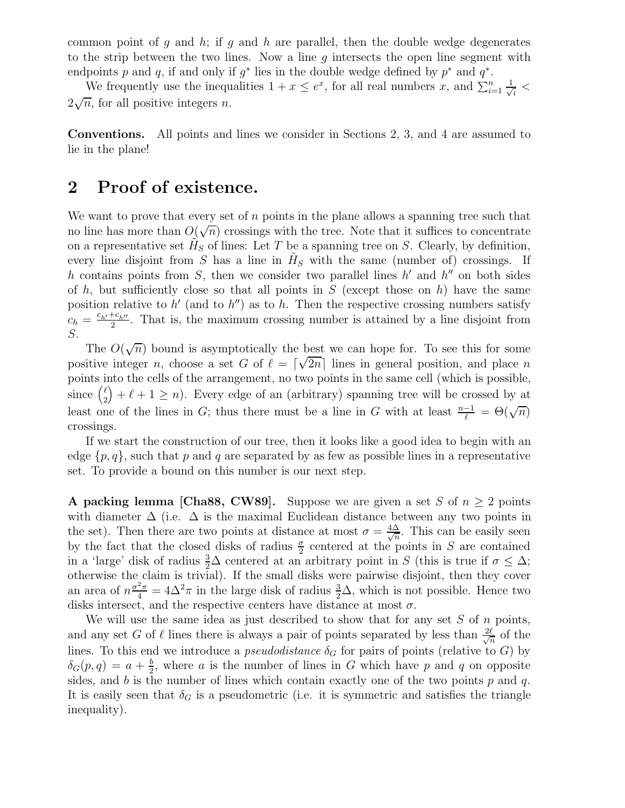common point of q and h; if q and h are parallel, then the double wedge degenerates to the strip between the two lines. Now a line  $q$  intersects the open line segment with endpoints p and q, if and only if  $g^*$  lies in the double wedge defined by  $p^*$  and  $q^*$ .

We frequently use the inequalities  $1 + x \leq e^x$ , for all real numbers x, and  $\sum_{i=1}^n \frac{1}{\sqrt{i}}$  $2\sqrt{n}$ , for all positive integers *n*.

Conventions. All points and lines we consider in Sections 2, 3, and 4 are assumed to lie in the plane!

## 2 Proof of existence.

We want to prove that every set of  $n$  points in the plane allows a spanning tree such that no line has more than  $O(\sqrt{n})$  crossings with the tree. Note that it suffices to concentrate on a representative set  $H_S$  of lines: Let T be a spanning tree on S. Clearly, by definition, every line disjoint from S has a line in  $H<sub>S</sub>$  with the same (number of) crossings. If h contains points from S, then we consider two parallel lines  $h'$  and  $h''$  on both sides of h, but sufficiently close so that all points in  $S$  (except those on h) have the same position relative to  $h'$  (and to  $h''$ ) as to h. Then the respective crossing numbers satisfy  $c_h = \frac{c_{h'} + c_{h''}}{2}$ . That is, the maximum crossing number is attained by a line disjoint from S.

The  $O(\sqrt{n})$  bound is asymptotically the best we can hope for. To see this for some positive integer n, choose a set G of  $\ell = \lceil \sqrt{2n} \rceil$  lines in general position, and place n points into the cells of the arrangement, no two points in the same cell (which is possible, since  $\binom{\ell}{2}$  $+ \ell + 1 \geq n$ ). Every edge of an (arbitrary) spanning tree will be crossed by at least one of the lines in G; thus there must be a line in G with at least  $\frac{n-1}{\ell} = \Theta(\sqrt{n})$ crossings.

If we start the construction of our tree, then it looks like a good idea to begin with an edge  $\{p, q\}$ , such that p and q are separated by as few as possible lines in a representative set. To provide a bound on this number is our next step.

A packing lemma [Cha88, CW89]. Suppose we are given a set S of  $n \geq 2$  points with diameter  $\Delta$  (i.e.  $\Delta$  is the maximal Euclidean distance between any two points in the set). Then there are two points at distance at most  $\sigma = \frac{4\Delta}{\sqrt{n}}$ . This can be easily seen by the fact that the closed disks of radius  $\frac{\sigma}{2}$  centered at the points in S are contained in a 'large' disk of radius  $\frac{3}{2}\Delta$  centered at an arbitrary point in S (this is true if  $\sigma \leq \Delta$ ; otherwise the claim is trivial). If the small disks were pairwise disjoint, then they cover an area of  $n\frac{\sigma^2\pi}{4} = 4\Delta^2\pi$  in the large disk of radius  $\frac{3}{2}\Delta$ , which is not possible. Hence two disks intersect, and the respective centers have distance at most  $\sigma$ .

We will use the same idea as just described to show that for any set  $S$  of  $n$  points, and any set G of  $\ell$  lines there is always a pair of points separated by less than  $\frac{2\ell}{\sqrt{n}}$  of the lines. To this end we introduce a *pseudodistance*  $\delta_G$  for pairs of points (relative to G) by  $\delta_G(p,q) = a + \frac{b}{2}$ , where a is the number of lines in G which have p and q on opposite sides, and  $b$  is the number of lines which contain exactly one of the two points  $p$  and  $q$ . It is easily seen that  $\delta_G$  is a pseudometric (i.e. it is symmetric and satisfies the triangle inequality).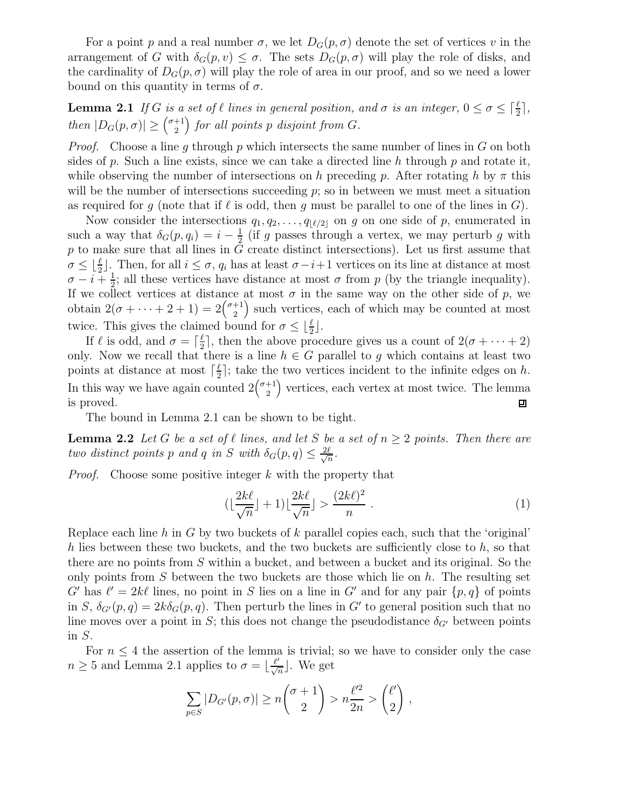For a point p and a real number  $\sigma$ , we let  $D_G(p, \sigma)$  denote the set of vertices v in the arrangement of G with  $\delta_G(p, v) \leq \sigma$ . The sets  $D_G(p, \sigma)$  will play the role of disks, and the cardinality of  $D_G(p, \sigma)$  will play the role of area in our proof, and so we need a lower bound on this quantity in terms of  $\sigma$ .

**Lemma 2.1** If G is a set of  $\ell$  lines in general position, and  $\sigma$  is an integer,  $0 \le \sigma \le \lceil \frac{\ell}{2} \rceil$ , then  $|D_G(p, \sigma)| \geq {\sigma+1 \choose 2}$ 2 ) for all points  $p$  disjoint from  $G$ .

*Proof.* Choose a line q through p which intersects the same number of lines in G on both sides of p. Such a line exists, since we can take a directed line h through p and rotate it, while observing the number of intersections on h preceding p. After rotating h by  $\pi$  this will be the number of intersections succeeding  $p$ ; so in between we must meet a situation as required for g (note that if  $\ell$  is odd, then g must be parallel to one of the lines in G).

Now consider the intersections  $q_1, q_2, \ldots, q_{\lvert \ell/2 \rvert}$  on g on one side of p, enumerated in such a way that  $\delta_G(p,q_i) = i - \frac{1}{2}$  (if g passes through a vertex, we may perturb g with p to make sure that all lines in  $\tilde{G}$  create distinct intersections). Let us first assume that  $\sigma \leq \lfloor \frac{\ell}{2} \rfloor$ . Then, for all  $i \leq \sigma$ ,  $q_i$  has at least  $\sigma - i + 1$  vertices on its line at distance at most  $\sigma - i + \frac{1}{2}$ ; all these vertices have distance at most  $\sigma$  from p (by the triangle inequality). If we collect vertices at distance at most  $\sigma$  in the same way on the other side of p, we obtain  $2(\sigma + \cdots + 2 + 1) = 2\binom{\sigma+1}{2}$ 2 ) such vertices, each of which may be counted at most twice. This gives the claimed bound for  $\sigma \leq \lfloor \frac{\ell}{2} \rfloor$ .

If  $\ell$  is odd, and  $\sigma = \lceil \frac{\ell}{2} \rceil$ , then the above procedure gives us a count of  $2(\sigma + \cdots + 2)$ only. Now we recall that there is a line  $h \in G$  parallel to g which contains at least two points at distance at most  $\lceil \frac{\ell}{2} \rceil$ ; take the two vertices incident to the infinite edges on h. In this way we have again counted  $2\binom{\sigma+1}{2}$ " vertices, each vertex at most twice. The lemma 2 is proved.  $\boxed{\blacksquare}$ 

The bound in Lemma 2.1 can be shown to be tight.

**Lemma 2.2** Let G be a set of  $\ell$  lines, and let S be a set of  $n \geq 2$  points. Then there are two distinct points p and q in S with  $\delta_G(p,q) \leq \frac{2\ell}{\sqrt{n}}$ .

*Proof.* Choose some positive integer k with the property that

$$
\left(\lfloor \frac{2k\ell}{\sqrt{n}} \rfloor + 1\right) \lfloor \frac{2k\ell}{\sqrt{n}} \rfloor > \frac{(2k\ell)^2}{n} \tag{1}
$$

Replace each line  $h$  in  $G$  by two buckets of  $k$  parallel copies each, such that the 'original' h lies between these two buckets, and the two buckets are sufficiently close to  $h$ , so that there are no points from S within a bucket, and between a bucket and its original. So the only points from  $S$  between the two buckets are those which lie on  $h$ . The resulting set  $G'$  has  $\ell' = 2k\ell$  lines, no point in S lies on a line in G' and for any pair  $\{p,q\}$  of points in S,  $\delta_{G'}(p,q)=2k\delta_G(p,q)$ . Then perturb the lines in G' to general position such that no line moves over a point in S; this does not change the pseudodistance  $\delta_{G'}$  between points in S.

For  $n \leq 4$  the assertion of the lemma is trivial; so we have to consider only the case  $n \geq 5$  and Lemma 2.1 applies to  $\sigma = \lfloor \frac{\ell'}{\sqrt{n}} \rfloor$ . We get

$$
\sum_{p\in S} |D_{G'}(p,\sigma)| \ge n \binom{\sigma+1}{2} > n \frac{\ell'^2}{2n} > \binom{\ell'}{2},
$$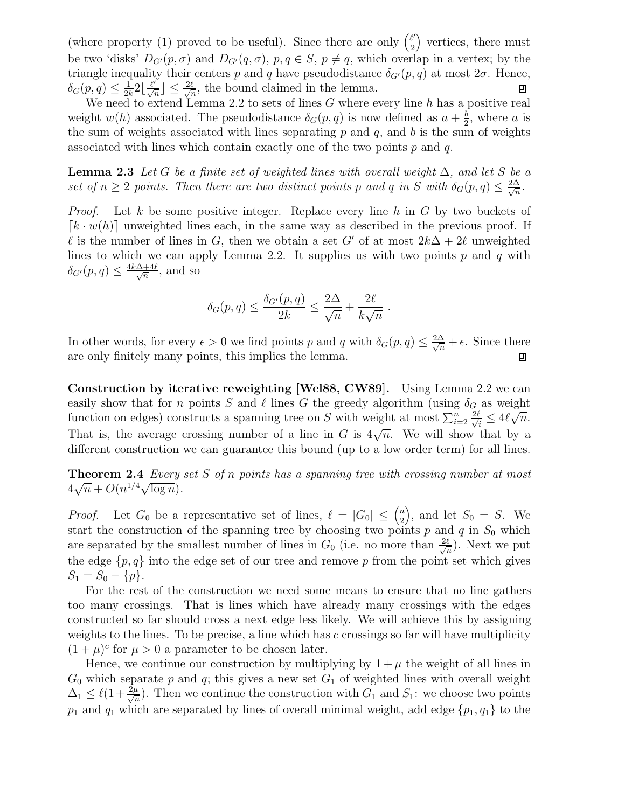(where property (1) proved to be useful). Since there are only  $\binom{\ell'}{2}$ 2 ) vertices, there must be two 'disks'  $D_{G'}(p, \sigma)$  and  $D_{G'}(q, \sigma)$ ,  $p, q \in S$ ,  $p \neq q$ , which overlap in a vertex; by the triangle inequality their centers p and q have pseudodistance  $\delta_{G'}(p,q)$  at most  $2\sigma$ . Hence,  $\delta_G(p,q) \leq \frac{1}{2k} 2 \lfloor \frac{\ell'}{\sqrt{n}} \rfloor \leq \frac{2\ell}{\sqrt{n}}$ , the bound claimed in the lemma.

We need to extend Lemma 2.2 to sets of lines  $G$  where every line  $h$  has a positive real weight  $w(h)$  associated. The pseudodistance  $\delta_G(p,q)$  is now defined as  $a + \frac{b}{2}$ , where a is the sum of weights associated with lines separating  $p$  and  $q$ , and  $b$  is the sum of weights associated with lines which contain exactly one of the two points  $p$  and  $q$ .

**Lemma 2.3** Let G be a finite set of weighted lines with overall weight  $\Delta$ , and let S be a set of  $n \geq 2$  points. Then there are two distinct points p and q in S with  $\delta_G(p,q) \leq \frac{2\Delta}{\sqrt{n}}$ .

*Proof.* Let k be some positive integer. Replace every line h in G by two buckets of  $\lceil k \cdot w(h) \rceil$  unweighted lines each, in the same way as described in the previous proof. If  $\ell$  is the number of lines in G, then we obtain a set G' of at most  $2k\Delta + 2\ell$  unweighted lines to which we can apply Lemma 2.2. It supplies us with two points  $p$  and  $q$  with  $\delta_{G'}(p,q) \leq \frac{4k\Delta + 4\ell}{\sqrt{n}},$  and so

$$
\delta_G(p,q) \le \frac{\delta_{G'}(p,q)}{2k} \le \frac{2\Delta}{\sqrt{n}} + \frac{2\ell}{k\sqrt{n}}.
$$

In other words, for every  $\epsilon > 0$  we find points p and q with  $\delta_G(p,q) \leq \frac{2\Delta}{\sqrt{n}} + \epsilon$ . Since there are only finitely many points, this implies the lemma. 回

Construction by iterative reweighting [Wel88, CW89]. Using Lemma 2.2 we can easily show that for n points S and  $\ell$  lines G the greedy algorithm (using  $\delta_G$  as weight function on edges) constructs a spanning tree on S with weight at most  $\sum_{i=2}^{n} \frac{2\ell}{\sqrt{i}} \leq 4\ell\sqrt{n}$ . That is, the average crossing number of a line in G is  $4\sqrt{n}$ . We will show that by a different construction we can guarantee this bound (up to a low order term) for all lines.

**Theorem 2.4** Every set S of n points has a spanning tree with crossing number at most  $4\sqrt{n} + O(n^{1/4}\sqrt{\log n}).$ 

*Proof.* Let  $G_0$  be a representative set of lines,  $\ell = |G_0| \leq {n \choose 2}$ 2 ), and let  $S_0 = S$ . We start the construction of the spanning tree by choosing two points  $p$  and  $q$  in  $S_0$  which are separated by the smallest number of lines in  $G_0$  (i.e. no more than  $\frac{2\ell}{\sqrt{n}}$ ). Next we put the edge  $\{p, q\}$  into the edge set of our tree and remove p from the point set which gives  $S_1 = S_0 - \{p\}.$ 

For the rest of the construction we need some means to ensure that no line gathers too many crossings. That is lines which have already many crossings with the edges constructed so far should cross a next edge less likely. We will achieve this by assigning weights to the lines. To be precise, a line which has c crossings so far will have multiplicity  $(1 + \mu)^c$  for  $\mu > 0$  a parameter to be chosen later.

Hence, we continue our construction by multiplying by  $1 + \mu$  the weight of all lines in  $G_0$  which separate p and q; this gives a new set  $G_1$  of weighted lines with overall weight  $\Delta_1 \leq \ell(1+\frac{2\mu}{\sqrt{n}})$ . Then we continue the construction with  $G_1$  and  $S_1$ : we choose two points  $p_1$  and  $q_1$  which are separated by lines of overall minimal weight, add edge  $\{p_1, q_1\}$  to the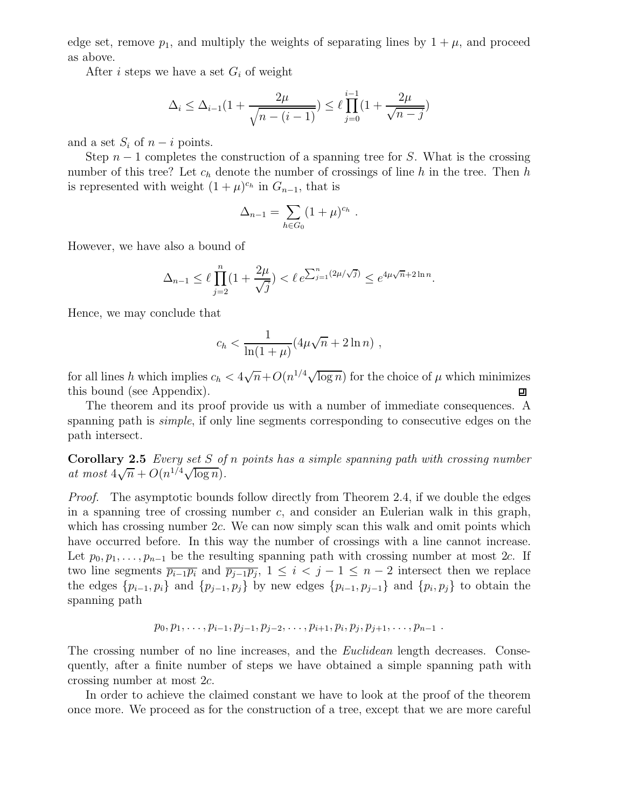edge set, remove  $p_1$ , and multiply the weights of separating lines by  $1 + \mu$ , and proceed as above.

After i steps we have a set  $G_i$  of weight

$$
\Delta_i \leq \Delta_{i-1} \left( 1 + \frac{2\mu}{\sqrt{n - (i-1)}} \right) \leq \ell \prod_{j=0}^{i-1} \left( 1 + \frac{2\mu}{\sqrt{n - j}} \right)
$$

and a set  $S_i$  of  $n-i$  points.

Step  $n-1$  completes the construction of a spanning tree for S. What is the crossing number of this tree? Let  $c_h$  denote the number of crossings of line h in the tree. Then h is represented with weight  $(1 + \mu)^{c_h}$  in  $G_{n-1}$ , that is

$$
\Delta_{n-1} = \sum_{h \in G_0} (1 + \mu)^{c_h} .
$$

However, we have also a bound of

$$
\Delta_{n-1} \le \ell \prod_{j=2}^n (1 + \frac{2\mu}{\sqrt{j}}) < \ell \, e^{\sum_{j=1}^n (2\mu/\sqrt{j})} \le e^{4\mu\sqrt{n} + 2\ln n}.
$$

Hence, we may conclude that

$$
c_h < \frac{1}{\ln(1+\mu)}(4\mu\sqrt{n} + 2\ln n)
$$
,

for all lines h which implies  $c_h < 4\sqrt{n} + O(n^{1/4}\sqrt{\log n})$  for the choice of  $\mu$  which minimizes this bound (see Appendix).  $\boxed{\blacksquare}$ 

The theorem and its proof provide us with a number of immediate consequences. A spanning path is *simple*, if only line segments corresponding to consecutive edges on the path intersect.

Corollary 2.5 Every set S of n points has a simple spanning path with crossing number at most  $4\sqrt{n} + O(n^{1/4}\sqrt{\log n})$ .

Proof. The asymptotic bounds follow directly from Theorem 2.4, if we double the edges in a spanning tree of crossing number  $c$ , and consider an Eulerian walk in this graph, which has crossing number 2c. We can now simply scan this walk and omit points which have occurred before. In this way the number of crossings with a line cannot increase. Let  $p_0, p_1, \ldots, p_{n-1}$  be the resulting spanning path with crossing number at most 2c. If two line segments  $\overline{p_{i-1}p_i}$  and  $\overline{p_{j-1}p_j}$ ,  $1 \leq i < j-1 \leq n-2$  intersect then we replace the edges  $\{p_{i-1}, p_i\}$  and  $\{p_{j-1}, p_j\}$  by new edges  $\{p_{i-1}, p_{j-1}\}$  and  $\{p_i, p_j\}$  to obtain the spanning path

$$
p_0, p_1, \ldots, p_{i-1}, p_{j-1}, p_{j-2}, \ldots, p_{i+1}, p_i, p_j, p_{j+1}, \ldots, p_{n-1}
$$
.

The crossing number of no line increases, and the *Euclidean* length decreases. Consequently, after a finite number of steps we have obtained a simple spanning path with crossing number at most 2c.

In order to achieve the claimed constant we have to look at the proof of the theorem once more. We proceed as for the construction of a tree, except that we are more careful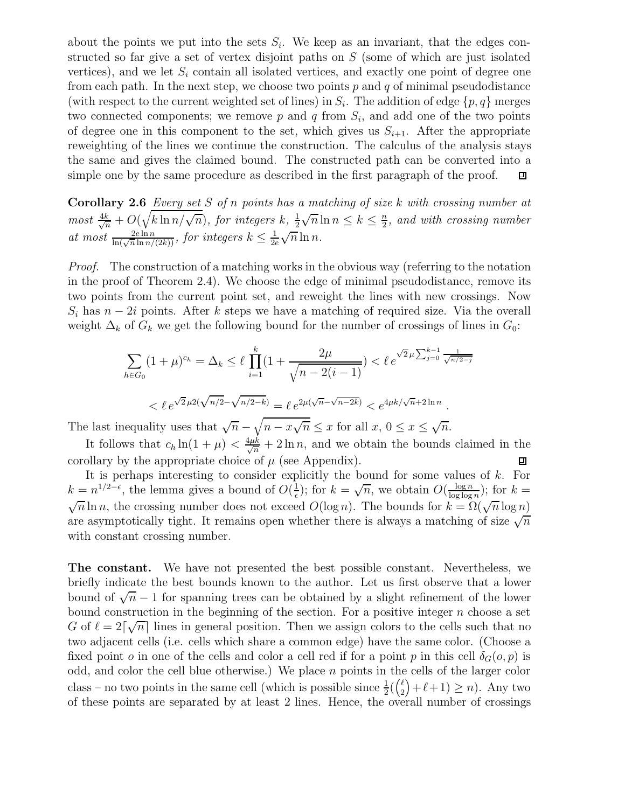about the points we put into the sets  $S_i$ . We keep as an invariant, that the edges constructed so far give a set of vertex disjoint paths on S (some of which are just isolated vertices), and we let  $S_i$  contain all isolated vertices, and exactly one point of degree one from each path. In the next step, we choose two points  $p$  and  $q$  of minimal pseudodistance (with respect to the current weighted set of lines) in  $S_i$ . The addition of edge  $\{p, q\}$  merges two connected components; we remove  $p$  and  $q$  from  $S_i$ , and add one of the two points of degree one in this component to the set, which gives us  $S_{i+1}$ . After the appropriate reweighting of the lines we continue the construction. The calculus of the analysis stays the same and gives the claimed bound. The constructed path can be converted into a simple one by the same procedure as described in the first paragraph of the proof. 口

Corollary 2.6 Every set S of n points has a matching of size k with crossing number at  $most \frac{4k}{\sqrt{n}} + O(\sqrt{k \ln n/\sqrt{n}})$ , for integers  $k, \frac{1}{2}\sqrt{n} \ln n \le k \le \frac{n}{2}$ , and with crossing number at most  $\frac{2e \ln n}{\ln(\sqrt{n} \ln n/(2k))}$ , for integers  $k \leq \frac{1}{2e} \sqrt{n} \ln n$ .

*Proof.* The construction of a matching works in the obvious way (referring to the notation in the proof of Theorem 2.4). We choose the edge of minimal pseudodistance, remove its two points from the current point set, and reweight the lines with new crossings. Now  $S_i$  has  $n-2i$  points. After k steps we have a matching of required size. Via the overall weight  $\Delta_k$  of  $G_k$  we get the following bound for the number of crossings of lines in  $G_0$ :

$$
\sum_{h \in G_0} (1 + \mu)^{c_h} = \Delta_k \le \ell \prod_{i=1}^k (1 + \frac{2\mu}{\sqrt{n - 2(i - 1)}}) < \ell e^{\sqrt{2}\mu \sum_{j=0}^{k-1} \frac{1}{\sqrt{n/2 - j}}} < \ell e^{\sqrt{2}\mu \sum_{j=0}^{k-1} \frac{1}{\sqrt{n/2 - j}}} < \ell e^{\sqrt{2}\mu 2(\sqrt{n/2} - \sqrt{n/2 - k})} = \ell e^{2\mu(\sqrt{n} - \sqrt{n - 2k})} < e^{4\mu k/\sqrt{n} + 2\ln n}.
$$

The last inequality uses that  $\sqrt{n} - \sqrt{n - x\sqrt{n}} \le x$  for all  $x, 0 \le x \le \sqrt{n}$ .

It follows that  $c_h \ln(1 + \mu) < \frac{4\mu k}{\sqrt{n}} + 2\ln n$ , and we obtain the bounds claimed in the corollary by the appropriate choice of  $\mu$  (see Appendix).  $\Box$ 

It is perhaps interesting to consider explicitly the bound for some values of  $k$ . For  $k = n^{1/2-\epsilon}$ , the lemma gives a bound of  $O(\frac{1}{\epsilon})$ ; for  $k = \sqrt{n}$ , we obtain  $O(\frac{\log n}{\log \log n})$ ; for  $k = \sqrt{n} \ln n$ , the crossing number does not exceed  $O(\log n)$ . The bounds for  $k = \Omega(\sqrt{n} \log n)$  $\sqrt{n}\ln n$ , the crossing number does not exceed  $O(\log n)$ . The bounds for  $k = \Omega(\sqrt{n}\log n)$ are asymptotically tight. It remains open whether there is always a matching of size  $\sqrt{n}$ with constant crossing number.

The constant. We have not presented the best possible constant. Nevertheless, we briefly indicate the best bounds known to the author. Let us first observe that a lower bound of  $\sqrt{n} - 1$  for spanning trees can be obtained by a slight refinement of the lower bound construction in the beginning of the section. For a positive integer  $n$  choose a set G of  $\ell = 2\lceil \sqrt{n} \rceil$  lines in general position. Then we assign colors to the cells such that no two adjacent cells (i.e. cells which share a common edge) have the same color. (Choose a fixed point *o* in one of the cells and color a cell red if for a point *p* in this cell  $\delta_G(o, p)$  is odd, and color the cell blue otherwise.) We place  $n$  points in the cells of the larger color class – no two points in the same cell (which is possible since  $\frac{1}{2}(\binom{\ell}{2})$ 2  $+\ell+1 \geq n$ . Any two of these points are separated by at least 2 lines. Hence, the overall number of crossings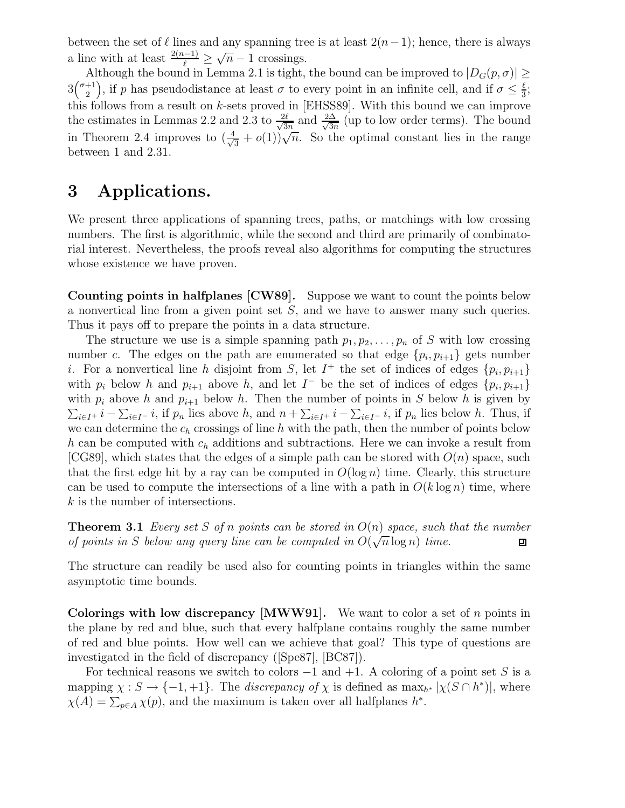between the set of  $\ell$  lines and any spanning tree is at least  $2(n-1)$ ; hence, there is always a line with at least  $\frac{2(n-1)}{\ell} \geq \sqrt{n-1}$  crossings.

Although the bound in Lemma 2.1 is tight, the bound can be improved to  $|D_G(p, \sigma)| \ge$  $3\binom{\sigma+1}{2}$ 2 ), if p has pseudodistance at least  $\sigma$  to every point in an infinite cell, and if  $\sigma \leq \frac{\ell}{3}$ ; this follows from a result on  $k$ -sets proved in [EHSS89]. With this bound we can improve the estimates in Lemmas 2.2 and 2.3 to  $\frac{2\ell}{\sqrt{3n}}$  and  $\frac{2\Delta}{\sqrt{3n}}$  (up to low order terms). The bound in Theorem 2.4 improves to  $\left(\frac{4}{\sqrt{3}}+o(1)\right)\sqrt{n}$ . So the optimal constant lies in the range between 1 and 2.31.

# 3 Applications.

We present three applications of spanning trees, paths, or matchings with low crossing numbers. The first is algorithmic, while the second and third are primarily of combinatorial interest. Nevertheless, the proofs reveal also algorithms for computing the structures whose existence we have proven.

Counting points in halfplanes [CW89]. Suppose we want to count the points below a nonvertical line from a given point set  $S$ , and we have to answer many such queries. Thus it pays off to prepare the points in a data structure.

The structure we use is a simple spanning path  $p_1, p_2, \ldots, p_n$  of S with low crossing number c. The edges on the path are enumerated so that edge  $\{p_i, p_{i+1}\}\$ gets number i. For a nonvertical line h disjoint from S, let  $I^+$  the set of indices of edges  $\{p_i, p_{i+1}\}\$ with  $p_i$  below h and  $p_{i+1}$  above h, and let  $I^-$  be the set of indices of edges  $\{p_i, p_{i+1}\}\$ with  $p_i$  above h and  $p_{i+1}$  below h. Then the number of points in S below h is given by  $\sum_{i\in I^+} i - \sum_{i\in I^-} i$ , if  $p_n$  lies above  $h$ , and  $n + \sum_{i\in I^+} i - \sum_{i\in I^-} i$ , if  $p_n$  lies below  $h$ . Thus, if we can determine the  $c_h$  crossings of line h with the path, then the number of points below h can be computed with  $c_h$  additions and subtractions. Here we can invoke a result from [CG89], which states that the edges of a simple path can be stored with  $O(n)$  space, such that the first edge hit by a ray can be computed in  $O(\log n)$  time. Clearly, this structure can be used to compute the intersections of a line with a path in  $O(k \log n)$  time, where k is the number of intersections.

**Theorem 3.1** Every set S of n points can be stored in  $O(n)$  space, such that the number of points in S below any query line can be computed in  $O(\sqrt{n}\log n)$  time. 回

The structure can readily be used also for counting points in triangles within the same asymptotic time bounds.

Colorings with low discrepancy [MWW91]. We want to color a set of  $n$  points in the plane by red and blue, such that every halfplane contains roughly the same number of red and blue points. How well can we achieve that goal? This type of questions are investigated in the field of discrepancy ([Spe87], [BC87]).

For technical reasons we switch to colors  $-1$  and  $+1$ . A coloring of a point set S is a mapping  $\chi : S \to \{-1, +1\}$ . The discrepancy of  $\chi$  is defined as  $\max_{h^*} |\chi(S \cap h^*)|$ , where  $\chi(A) = \sum_{p \in A} \chi(p)$ , and the maximum is taken over all halfplanes  $h^*$ .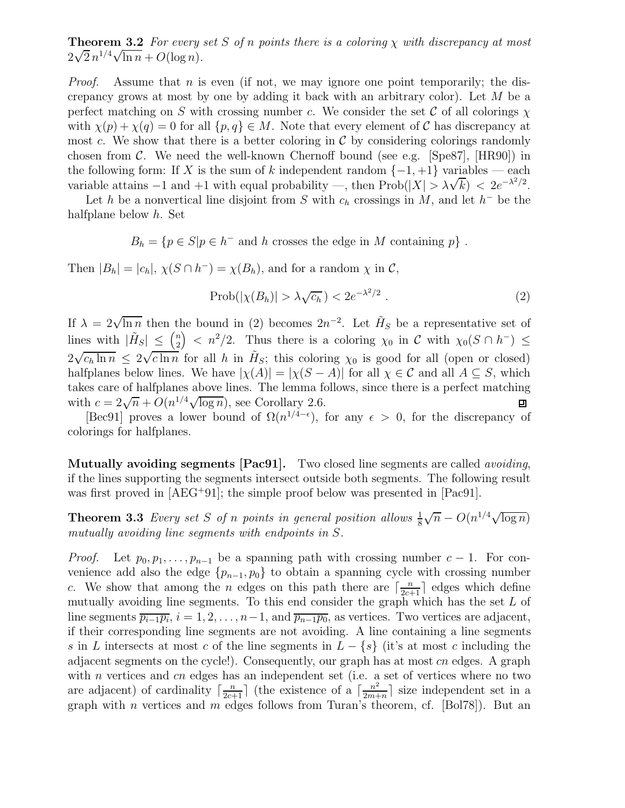**Theorem 3.2** For every set S of n points there is a coloring  $\chi$  with discrepancy at most  $2\sqrt{2} n^{1/4} \sqrt{\ln n} + O(\log n).$ 

*Proof.* Assume that n is even (if not, we may ignore one point temporarily; the discrepancy grows at most by one by adding it back with an arbitrary color). Let  $M$  be a perfect matching on S with crossing number c. We consider the set C of all colorings  $\chi$ with  $\chi(p) + \chi(q) = 0$  for all  $\{p, q\} \in M$ . Note that every element of C has discrepancy at most c. We show that there is a better coloring in  $\mathcal C$  by considering colorings randomly chosen from C. We need the well-known Chernoff bound (see e.g.  $\text{[Spe87]}, \text{[HR90]})$  in the following form: If X is the sum of k independent random  $\{-1, +1\}$  variables — each variable attains  $-1$  and  $+1$  with equal probability —, then Prob( $|X| > \lambda \sqrt{k}$ ) <  $2e^{-\lambda^2/2}$ .

Let h be a nonvertical line disjoint from S with  $c_h$  crossings in M, and let  $h^-$  be the halfplane below h. Set

 $B_h = \{p \in S | p \in h^- \text{ and } h \text{ crosses the edge in } M \text{ containing } p\}.$ 

Then  $|B_h| = |c_h|$ ,  $\chi(S \cap h^-) = \chi(B_h)$ , and for a random  $\chi$  in  $\mathcal{C}$ ,

$$
Prob(|\chi(B_h)| > \lambda \sqrt{c_h}) < 2e^{-\lambda^2/2}.
$$
 (2)

If  $\lambda = 2\sqrt{\ln n}$  then the bound in (2) becomes  $2n^{-2}$ . Let  $\tilde{H}_S$  be a representative set of lines with  $|\tilde{H}_S| \leq {n \choose 2}$ 2 ) <  $n^2/2$ . Thus there is a coloring  $\chi_0$  in C with  $\chi_0(S \cap h^-)$  ≤  $2\sqrt{c_h \ln n} \leq 2\sqrt{c \ln n}$  for all h in  $\tilde{H}_S$ ; this coloring  $\chi_0$  is good for all (open or closed) halfplanes below lines. We have  $|\chi(A)| = |\chi(S - A)|$  for all  $\chi \in C$  and all  $A \subseteq S$ , which takes care of halfplanes above lines. The lemma follows, since there is a perfect matching with  $c = 2\sqrt{n} + O(n^{1/4}\sqrt{\log n})$ , see Corollary 2.6.

[Bec91] proves a lower bound of  $\Omega(n^{1/4-\epsilon})$ , for any  $\epsilon > 0$ , for the discrepancy of colorings for halfplanes.

Mutually avoiding segments [Pac91]. Two closed line segments are called *avoiding*, if the lines supporting the segments intersect outside both segments. The following result was first proved in [AEG<sup>+91]</sup>; the simple proof below was presented in [Pac91].

**Theorem 3.3** Every set S of n points in general position allows  $\frac{1}{8}\sqrt{n} - O(n^{1/4}\sqrt{\log n})$ mutually avoiding line segments with endpoints in S.

*Proof.* Let  $p_0, p_1, \ldots, p_{n-1}$  be a spanning path with crossing number  $c - 1$ . For convenience add also the edge  $\{p_{n-1}, p_0\}$  to obtain a spanning cycle with crossing number c. We show that among the n edges on this path there are  $\lceil \frac{n}{2c+1} \rceil$  edges which define mutually avoiding line segments. To this end consider the graph which has the set  $L$  of line segments  $\overline{p_{i-1}p_i}$ ,  $i = 1, 2, ..., n-1$ , and  $\overline{p_{n-1}p_0}$ , as vertices. Two vertices are adjacent, if their corresponding line segments are not avoiding. A line containing a line segments s in L intersects at most c of the line segments in  $L - \{s\}$  (it's at most c including the adjacent segments on the cycle!). Consequently, our graph has at most cn edges. A graph with *n* vertices and *cn* edges has an independent set (i.e. a set of vertices where no two are adjacent) of cardinality  $\lceil \frac{n}{2c+1} \rceil$  (the existence of a  $\lceil \frac{n^2}{2m+n} \rceil$  size independent set in a graph with *n* vertices and *m* edges follows from Turan's theorem, cf. [Bol78]). But an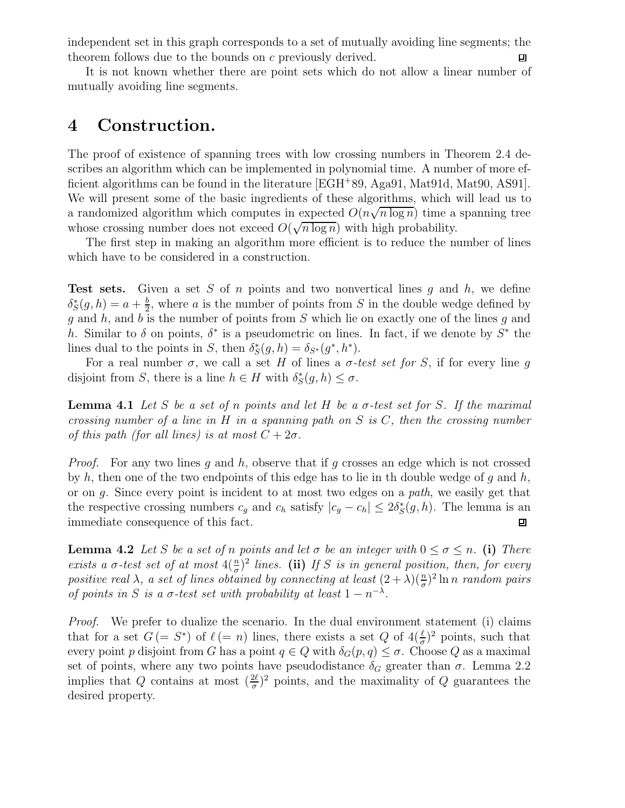independent set in this graph corresponds to a set of mutually avoiding line segments; the theorem follows due to the bounds on c previously derived.

It is not known whether there are point sets which do not allow a linear number of mutually avoiding line segments.

# 4 Construction.

The proof of existence of spanning trees with low crossing numbers in Theorem 2.4 describes an algorithm which can be implemented in polynomial time. A number of more efficient algorithms can be found in the literature [EGH<sup>+</sup>89, Aga91, Mat91d, Mat90, AS91]. We will present some of the basic ingredients of these algorithms, which will lead us to a randomized algorithm which computes in expected  $O(n\sqrt{n \log n})$  time a spanning tree whose crossing number does not exceed  $O(\sqrt{n \log n})$  with high probability.

The first step in making an algorithm more efficient is to reduce the number of lines which have to be considered in a construction.

**Test sets.** Given a set S of n points and two nonvertical lines g and h, we define  $\delta_S^*(g, h) = a + \frac{b}{2}$ , where a is the number of points from S in the double wedge defined by g and h, and b is the number of points from  $S$  which lie on exactly one of the lines g and h. Similar to  $\delta$  on points,  $\delta^*$  is a pseudometric on lines. In fact, if we denote by  $S^*$  the lines dual to the points in S, then  $\delta_S^*(g, h) = \delta_{S^*}(g^*, h^*)$ .

For a real number  $\sigma$ , we call a set H of lines a  $\sigma$ -test set for S, if for every line g disjoint from S, there is a line  $h \in H$  with  $\delta_S^*(g, h) \leq \sigma$ .

**Lemma 4.1** Let S be a set of n points and let H be a  $\sigma$ -test set for S. If the maximal crossing number of a line in  $H$  in a spanning path on  $S$  is  $C$ , then the crossing number of this path (for all lines) is at most  $C + 2\sigma$ .

*Proof.* For any two lines g and h, observe that if g crosses an edge which is not crossed by h, then one of the two endpoints of this edge has to lie in the double wedge of q and h, or on g. Since every point is incident to at most two edges on a path, we easily get that the respective crossing numbers  $c_g$  and  $c_h$  satisfy  $|c_g - c_h| \leq 2\delta_S^*(g, h)$ . The lemma is an immediate consequence of this fact.  $\Box$ 

**Lemma 4.2** Let S be a set of n points and let  $\sigma$  be an integer with  $0 \le \sigma \le n$ . (i) There exists a  $\sigma$ -test set of at most  $4(\frac{n}{\sigma})^2$  lines. (ii) If S is in general position, then, for every positive real  $\lambda$ , a set of lines obtained by connecting at least  $(2 + \lambda)(\frac{n}{\sigma})^2 \ln n$  random pairs of points in S is a  $\sigma$ -test set with probability at least  $1-n^{-\lambda}$ .

Proof. We prefer to dualize the scenario. In the dual environment statement (i) claims that for a set  $G = S^*$  of  $\ell (= n)$  lines, there exists a set Q of  $4(\frac{\ell}{\sigma})^2$  points, such that every point p disjoint from G has a point  $q \in Q$  with  $\delta_G(p,q) \leq \sigma$ . Choose Q as a maximal set of points, where any two points have pseudodistance  $\delta_G$  greater than  $\sigma$ . Lemma 2.2 implies that Q contains at most  $(\frac{2\ell}{\sigma})^2$  points, and the maximality of Q guarantees the desired property.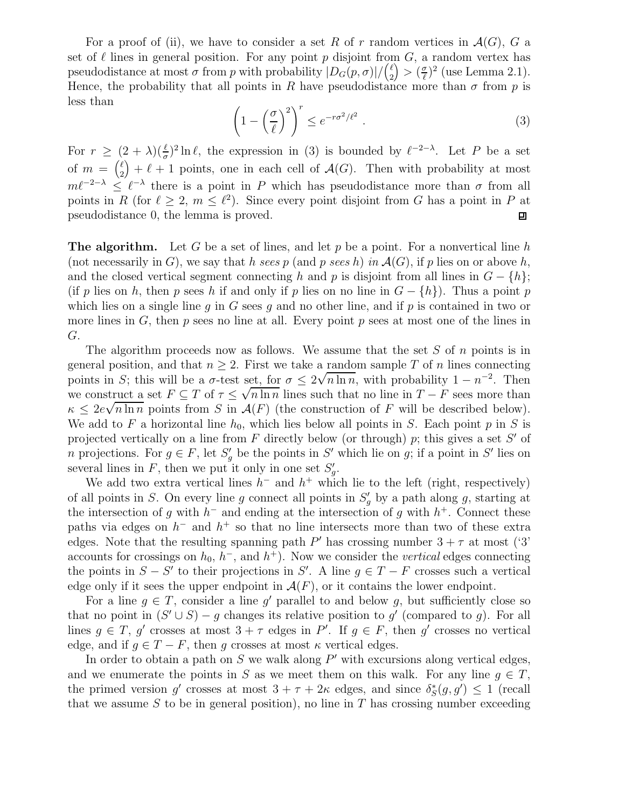For a proof of (ii), we have to consider a set R of r random vertices in  $\mathcal{A}(G)$ , G a set of  $\ell$  lines in general position. For any point p disjoint from  $G$ , a random vertex has pseudodistance at most  $\sigma$  from p with probability  $|D_G(p, \sigma)|/(\frac{\ell}{2})$ 2  $\left( \frac{\sigma}{\ell} \right)^2$  (use Lemma 2.1). Hence, the probability that all points in R have pseudodistance more than  $\sigma$  from p is less than

$$
\left(1 - \left(\frac{\sigma}{\ell}\right)^2\right)^r \le e^{-r\sigma^2/\ell^2} \tag{3}
$$

For  $r \ge (2 + \lambda)(\frac{\ell}{\sigma})^2 \ln \ell$ , the expression in (3) is bounded by  $\ell^{-2-\lambda}$ . Let P be a set of  $m = \begin{pmatrix} \ell \\ 2 \end{pmatrix}$  $+ \ell + 1$  points, one in each cell of  $\mathcal{A}(G)$ . Then with probability at most  $m\ell^{-2-\lambda} \leq \ell^{-\lambda}$  there is a point in P which has pseudodistance more than  $\sigma$  from all points in R (for  $\ell \geq 2$ ,  $m \leq \ell^2$ ). Since every point disjoint from G has a point in P at pseudodistance 0, the lemma is proved. 回

**The algorithm.** Let G be a set of lines, and let p be a point. For a nonvertical line h (not necessarily in G), we say that h sees p (and p sees h) in  $\mathcal{A}(G)$ , if p lies on or above h, and the closed vertical segment connecting h and p is disjoint from all lines in  $G - \{h\}$ ; (if p lies on h, then p sees h if and only if p lies on no line in  $G - \{h\}$ ). Thus a point p which lies on a single line q in G sees q and no other line, and if p is contained in two or more lines in  $G$ , then p sees no line at all. Every point p sees at most one of the lines in G.

The algorithm proceeds now as follows. We assume that the set  $S$  of  $n$  points is in general position, and that  $n \geq 2$ . First we take a random sample T of n lines connecting points in S; this will be a  $\sigma$ -test set, for  $\sigma \leq 2\sqrt{n \ln n}$ , with probability  $1 - n^{-2}$ . Then we construct a set  $F \subseteq T$  of  $\tau \leq \sqrt{n \ln n}$  lines such that no line in  $T - F$  sees more than  $\kappa \leq 2e\sqrt{n \ln n}$  points from S in  $\mathcal{A}(F)$  (the construction of F will be described below). We add to F a horizontal line  $h_0$ , which lies below all points in S. Each point p in S is projected vertically on a line from  $F$  directly below (or through)  $p$ ; this gives a set  $S'$  of *n* projections. For  $g \in F$ , let  $S'_{g}$  be the points in S' which lie on g; if a point in S' lies on several lines in  $F$ , then we put it only in one set  $S'_{g}$ .

We add two extra vertical lines  $h^-$  and  $h^+$  which lie to the left (right, respectively) of all points in S. On every line g connect all points in  $S'_{g}$  by a path along g, starting at the intersection of g with  $h^-$  and ending at the intersection of g with  $h^+$ . Connect these paths via edges on  $h^-$  and  $h^+$  so that no line intersects more than two of these extra edges. Note that the resulting spanning path P' has crossing number  $3 + \tau$  at most ('3') accounts for crossings on  $h_0$ ,  $h^-$ , and  $h^+$ ). Now we consider the vertical edges connecting the points in  $S - S'$  to their projections in  $S'$ . A line  $g \in T - F$  crosses such a vertical edge only if it sees the upper endpoint in  $\mathcal{A}(F)$ , or it contains the lower endpoint.

For a line  $g \in T$ , consider a line g' parallel to and below g, but sufficiently close so that no point in  $(S' \cup S) - g$  changes its relative position to g' (compared to g). For all lines  $g \in T$ , g' crosses at most  $3 + \tau$  edges in P'. If  $g \in F$ , then g' crosses no vertical edge, and if  $g \in T - F$ , then g crosses at most  $\kappa$  vertical edges.

In order to obtain a path on S we walk along  $P'$  with excursions along vertical edges, and we enumerate the points in S as we meet them on this walk. For any line  $q \in T$ , the primed version g' crosses at most  $3 + \tau + 2\kappa$  edges, and since  $\delta_S^*(g, g') \leq 1$  (recall that we assume S to be in general position), no line in T has crossing number exceeding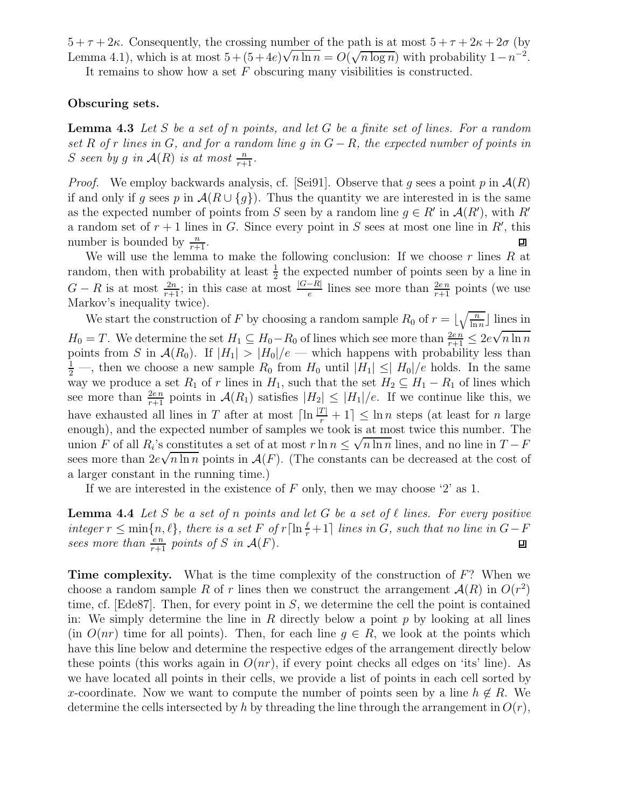$5 + \tau + 2\kappa$ . Consequently, the crossing number of the path is at most  $5 + \tau + 2\kappa + 2\sigma$  (by Lemma 4.1), which is at most  $5 + (5+4e)\sqrt{n \ln n} = O(\sqrt{n \log n})$  with probability  $1-n^{-2}$ .

It remains to show how a set  $F$  obscuring many visibilities is constructed.

#### Obscuring sets.

**Lemma 4.3** Let S be a set of n points, and let  $G$  be a finite set of lines. For a random set R of r lines in G, and for a random line g in  $G - R$ , the expected number of points in S seen by g in  $\mathcal{A}(R)$  is at most  $\frac{n}{r+1}$ .

*Proof.* We employ backwards analysis, cf. [Sei91]. Observe that g sees a point p in  $\mathcal{A}(R)$ if and only if q sees p in  $\mathcal{A}(R \cup \{q\})$ . Thus the quantity we are interested in is the same as the expected number of points from S seen by a random line  $g \in R'$  in  $\mathcal{A}(R')$ , with R' a random set of  $r + 1$  lines in G. Since every point in S sees at most one line in R', this number is bounded by  $\frac{n}{r+1}$ .  $\Box$ 

We will use the lemma to make the following conclusion: If we choose  $r$  lines  $R$  at random, then with probability at least  $\frac{1}{2}$  the expected number of points seen by a line in  $G - R$  is at most  $\frac{2n}{r+1}$ ; in this case at most  $\frac{|G-R|}{e}$  lines see more than  $\frac{2en}{r+1}$  points (we use Markov's inequality twice).

We start the construction of F by choosing a random sample  $R_0$  of  $r = \lfloor \sqrt{\frac{n}{\ln n}} \rfloor$  lines in  $H_0 = T$ . We determine the set  $H_1 \subseteq H_0 - R_0$  of lines which see more than  $\frac{2e n}{r+1} \leq 2e \sqrt{n \ln n}$ points from S in  $\mathcal{A}(R_0)$ . If  $|H_1| > |H_0|/e$  — which happens with probability less than  $\frac{1}{2}$  —, then we choose a new sample  $R_0$  from  $H_0$  until  $|H_1| \leq |H_0|/e$  holds. In the same way we produce a set  $R_1$  of r lines in  $H_1$ , such that the set  $H_2 \subseteq H_1 - R_1$  of lines which see more than  $\frac{2en}{r+1}$  points in  $\mathcal{A}(R_1)$  satisfies  $|H_2| \leq |H_1|/e$ . If we continue like this, we have exhausted all lines in T after at most  $\lceil \ln \frac{|T|}{r} + 1 \rceil \leq \ln n$  steps (at least for n large enough), and the expected number of samples we took is at most twice this number. The union F of all  $R_i$ 's constitutes a set of at most  $r \ln n \leq \sqrt{n \ln n}$  lines, and no line in  $T - F$ sees more than  $2e\sqrt{n \ln n}$  points in  $\mathcal{A}(F)$ . (The constants can be decreased at the cost of a larger constant in the running time.)

If we are interested in the existence of  $F$  only, then we may choose '2' as 1.

**Lemma 4.4** Let S be a set of n points and let G be a set of  $\ell$  lines. For every positive integer  $r \leq \min\{n, \ell\}$ , there is a set F of  $r\lceil \ln \frac{\ell}{r} + 1 \rceil$  lines in G, such that no line in  $G-F$ sees more than  $\frac{en}{r+1}$  points of S in  $\mathcal{A}(F)$ .

**Time complexity.** What is the time complexity of the construction of  $F$ ? When we choose a random sample R of r lines then we construct the arrangement  $\mathcal{A}(R)$  in  $O(r^2)$ time, cf. [Ede87]. Then, for every point in  $S$ , we determine the cell the point is contained in: We simply determine the line in R directly below a point  $p$  by looking at all lines (in  $O(nr)$  time for all points). Then, for each line  $g \in R$ , we look at the points which have this line below and determine the respective edges of the arrangement directly below these points (this works again in  $O(nr)$ , if every point checks all edges on 'its' line). As we have located all points in their cells, we provide a list of points in each cell sorted by x-coordinate. Now we want to compute the number of points seen by a line  $h \notin R$ . We determine the cells intersected by h by threading the line through the arrangement in  $O(r)$ ,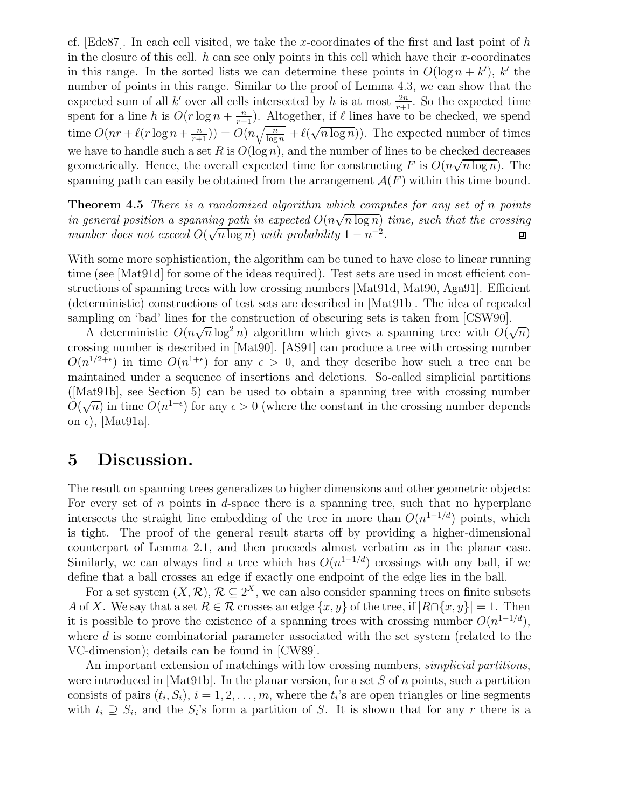cf. [Ede87]. In each cell visited, we take the x-coordinates of the first and last point of h in the closure of this cell.  $h$  can see only points in this cell which have their x-coordinates in this range. In the sorted lists we can determine these points in  $O(\log n + k')$ , k' the number of points in this range. Similar to the proof of Lemma 4.3, we can show that the expected sum of all k' over all cells intersected by h is at most  $\frac{2n}{r+1}$ . So the expected time spent for a line h is  $O(r \log n + \frac{n}{r+1})$ . Altogether, if  $\ell$  lines have to be checked, we spend time  $O(nr+\ell(r\log n+\frac{n}{r+1}))=O(n\sqrt{\frac{n}{\log n}}+\ell(\sqrt{n\log n}))$ . The expected number of times we have to handle such a set R is  $O(\log n)$ , and the number of lines to be checked decreases geometrically. Hence, the overall expected time for constructing F is  $O(n\sqrt{n \log n})$ . The spanning path can easily be obtained from the arrangement  $\mathcal{A}(F)$  within this time bound.

**Theorem 4.5** There is a randomized algorithm which computes for any set of n points in general position a spanning path in expected  $O(n\sqrt{n \log n})$  time, such that the crossing number does not exceed  $O(\sqrt{n \log n})$  with probability  $1 - n^{-2}$ .  $\Box$ 

With some more sophistication, the algorithm can be tuned to have close to linear running time (see [Mat91d] for some of the ideas required). Test sets are used in most efficient constructions of spanning trees with low crossing numbers [Mat91d, Mat90, Aga91]. Efficient (deterministic) constructions of test sets are described in [Mat91b]. The idea of repeated sampling on 'bad' lines for the construction of obscuring sets is taken from [CSW90].

A deterministic  $O(n\sqrt{n}\log^2 n)$  algorithm which gives a spanning tree with  $O(\sqrt{n})$ crossing number is described in [Mat90]. [AS91] can produce a tree with crossing number  $O(n^{1/2+\epsilon})$  in time  $O(n^{1+\epsilon})$  for any  $\epsilon > 0$ , and they describe how such a tree can be maintained under a sequence of insertions and deletions. So-called simplicial partitions ([Mat91b], see Section 5) can be used to obtain a spanning tree with crossing number  $O(\sqrt{n})$  in time  $O(n^{1+\epsilon})$  for any  $\epsilon > 0$  (where the constant in the crossing number depends on  $\epsilon$ ), [Mat91a].

## 5 Discussion.

The result on spanning trees generalizes to higher dimensions and other geometric objects: For every set of n points in d-space there is a spanning tree, such that no hyperplane intersects the straight line embedding of the tree in more than  $O(n^{1-1/d})$  points, which is tight. The proof of the general result starts off by providing a higher-dimensional counterpart of Lemma 2.1, and then proceeds almost verbatim as in the planar case. Similarly, we can always find a tree which has  $O(n^{1-1/d})$  crossings with any ball, if we define that a ball crosses an edge if exactly one endpoint of the edge lies in the ball.

For a set system  $(X, \mathcal{R}), \mathcal{R} \subseteq 2^X$ , we can also consider spanning trees on finite subsets A of X. We say that a set  $R \in \mathcal{R}$  crosses an edge  $\{x, y\}$  of the tree, if  $|R \cap \{x, y\}| = 1$ . Then it is possible to prove the existence of a spanning trees with crossing number  $O(n^{1-1/d})$ , where d is some combinatorial parameter associated with the set system (related to the VC-dimension); details can be found in [CW89].

An important extension of matchings with low crossing numbers, *simplicial partitions*, were introduced in [Mat91b]. In the planar version, for a set S of n points, such a partition consists of pairs  $(t_i, S_i)$ ,  $i = 1, 2, ..., m$ , where the  $t_i$ 's are open triangles or line segments with  $t_i \supseteq S_i$ , and the  $S_i$ 's form a partition of S. It is shown that for any r there is a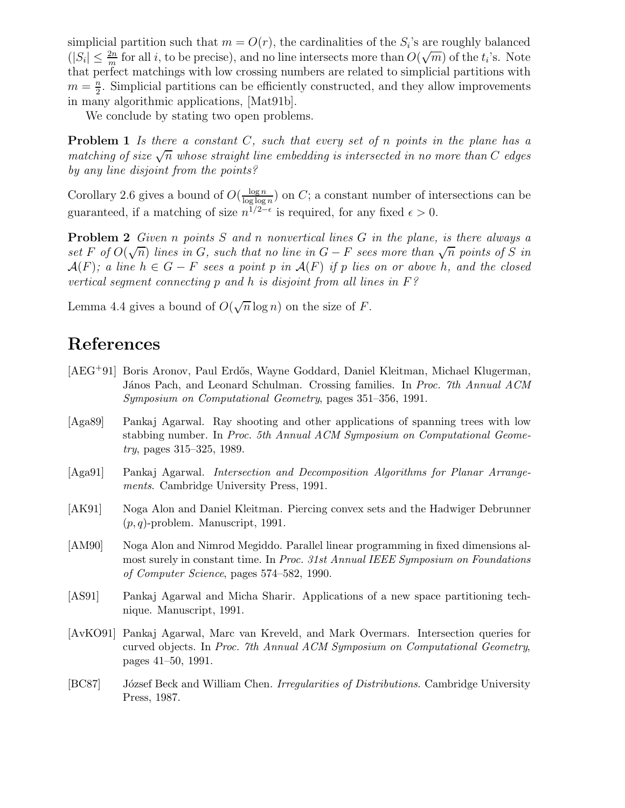simplicial partition such that  $m = O(r)$ , the cardinalities of the  $S_i$ 's are roughly balanced  $(|S_i| \leq \frac{2n}{m}$  for all *i*, to be precise), and no line intersects more than  $O(\sqrt{m})$  of the  $t_i$ 's. Note that perfect matchings with low crossing numbers are related to simplicial partitions with  $m = \frac{n}{2}$ . Simplicial partitions can be efficiently constructed, and they allow improvements in many algorithmic applications, [Mat91b].

We conclude by stating two open problems.

**Problem 1** Is there a constant  $C$ , such that every set of  $n$  points in the plane has a matching of size  $\sqrt{n}$  whose straight line embedding is intersected in no more than C edges by any line disjoint from the points?

Corollary 2.6 gives a bound of  $O(\frac{\log n}{\log \log n})$  on C; a constant number of intersections can be guaranteed, if a matching of size  $n^{1/2-\epsilon}$  is required, for any fixed  $\epsilon > 0$ .

**Problem 2** Given n points S and n nonvertical lines G in the plane, is there always a set F of  $O(\sqrt{n})$  lines in G, such that no line in  $G-F$  sees more than  $\sqrt{n}$  points of S in  $\mathcal{A}(F)$ ; a line  $h \in G - F$  sees a point p in  $\mathcal{A}(F)$  if p lies on or above h, and the closed vertical segment connecting p and h is disjoint from all lines in  $F$ ?

Lemma 4.4 gives a bound of  $O(\sqrt{n}\log n)$  on the size of F.

# References

- [AEG+91] Boris Aronov, Paul Erd˝os, Wayne Goddard, Daniel Kleitman, Michael Klugerman, János Pach, and Leonard Schulman. Crossing families. In Proc. 7th Annual ACM Symposium on Computational Geometry, pages 351–356, 1991.
- [Aga89] Pankaj Agarwal. Ray shooting and other applications of spanning trees with low stabbing number. In Proc. 5th Annual ACM Symposium on Computational Geometry, pages 315–325, 1989.
- [Aga91] Pankaj Agarwal. Intersection and Decomposition Algorithms for Planar Arrangements. Cambridge University Press, 1991.
- [AK91] Noga Alon and Daniel Kleitman. Piercing convex sets and the Hadwiger Debrunner  $(p, q)$ -problem. Manuscript, 1991.
- [AM90] Noga Alon and Nimrod Megiddo. Parallel linear programming in fixed dimensions almost surely in constant time. In Proc. 31st Annual IEEE Symposium on Foundations of Computer Science, pages 574–582, 1990.
- [AS91] Pankaj Agarwal and Micha Sharir. Applications of a new space partitioning technique. Manuscript, 1991.
- [AvKO91] Pankaj Agarwal, Marc van Kreveld, and Mark Overmars. Intersection queries for curved objects. In Proc. 7th Annual ACM Symposium on Computational Geometry, pages 41–50, 1991.
- [BC87] József Beck and William Chen. *Irregularities of Distributions*. Cambridge University Press, 1987.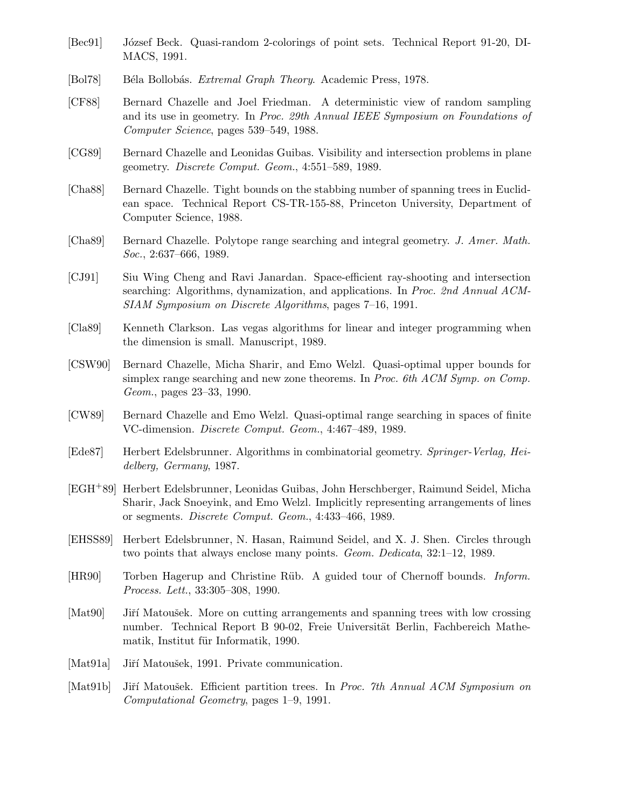- [Bec91] József Beck. Quasi-random 2-colorings of point sets. Technical Report 91-20, DI-MACS, 1991.
- [Bol78] Béla Bollobás. Extremal Graph Theory. Academic Press, 1978.
- [CF88] Bernard Chazelle and Joel Friedman. A deterministic view of random sampling and its use in geometry. In Proc. 29th Annual IEEE Symposium on Foundations of Computer Science, pages 539–549, 1988.
- [CG89] Bernard Chazelle and Leonidas Guibas. Visibility and intersection problems in plane geometry. Discrete Comput. Geom., 4:551–589, 1989.
- [Cha88] Bernard Chazelle. Tight bounds on the stabbing number of spanning trees in Euclidean space. Technical Report CS-TR-155-88, Princeton University, Department of Computer Science, 1988.
- [Cha89] Bernard Chazelle. Polytope range searching and integral geometry. J. Amer. Math. Soc., 2:637–666, 1989.
- [CJ91] Siu Wing Cheng and Ravi Janardan. Space-efficient ray-shooting and intersection searching: Algorithms, dynamization, and applications. In Proc. 2nd Annual ACM-SIAM Symposium on Discrete Algorithms, pages 7–16, 1991.
- [Cla89] Kenneth Clarkson. Las vegas algorithms for linear and integer programming when the dimension is small. Manuscript, 1989.
- [CSW90] Bernard Chazelle, Micha Sharir, and Emo Welzl. Quasi-optimal upper bounds for simplex range searching and new zone theorems. In Proc. 6th ACM Symp. on Comp. Geom., pages 23–33, 1990.
- [CW89] Bernard Chazelle and Emo Welzl. Quasi-optimal range searching in spaces of finite VC-dimension. Discrete Comput. Geom., 4:467–489, 1989.
- [Ede87] Herbert Edelsbrunner. Algorithms in combinatorial geometry. Springer-Verlag, Heidelberg, Germany, 1987.
- [EGH+89] Herbert Edelsbrunner, Leonidas Guibas, John Herschberger, Raimund Seidel, Micha Sharir, Jack Snoeyink, and Emo Welzl. Implicitly representing arrangements of lines or segments. Discrete Comput. Geom., 4:433–466, 1989.
- [EHSS89] Herbert Edelsbrunner, N. Hasan, Raimund Seidel, and X. J. Shen. Circles through two points that always enclose many points. Geom. Dedicata, 32:1–12, 1989.
- [HR90] Torben Hagerup and Christine Rüb. A guided tour of Chernoff bounds. Inform. Process. Lett., 33:305–308, 1990.
- [Mat90] Jiří Matoušek. More on cutting arrangements and spanning trees with low crossing number. Technical Report B 90-02, Freie Universität Berlin, Fachbereich Mathematik, Institut für Informatik, 1990.
- [Mat91a] Jiří Matoušek, 1991. Private communication.
- [Mat91b] Jiří Matoušek. Efficient partition trees. In Proc. 7th Annual ACM Symposium on Computational Geometry, pages 1–9, 1991.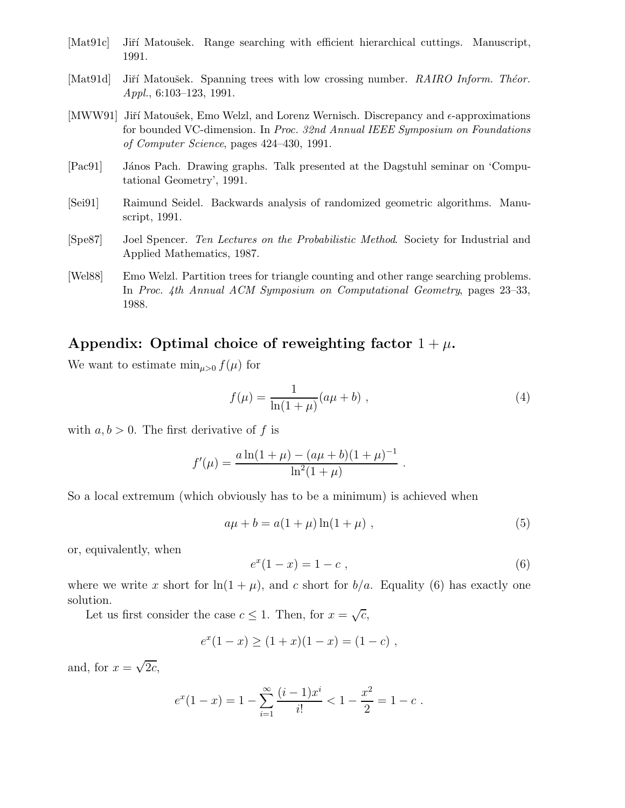- [Mat91c] Jiří Matoušek. Range searching with efficient hierarchical cuttings. Manuscript, 1991.
- [Mat91d] Jiří Matoušek. Spanning trees with low crossing number. RAIRO Inform. Theor. Appl., 6:103–123, 1991.
- [MWW91] Jiří Matoušek, Emo Welzl, and Lorenz Wernisch. Discrepancy and  $\epsilon$ -approximations for bounded VC-dimension. In Proc. 32nd Annual IEEE Symposium on Foundations of Computer Science, pages 424–430, 1991.
- [Pac91] J´anos Pach. Drawing graphs. Talk presented at the Dagstuhl seminar on 'Computational Geometry', 1991.
- [Sei91] Raimund Seidel. Backwards analysis of randomized geometric algorithms. Manuscript, 1991.
- [Spe87] Joel Spencer. Ten Lectures on the Probabilistic Method. Society for Industrial and Applied Mathematics, 1987.
- [Wel88] Emo Welzl. Partition trees for triangle counting and other range searching problems. In Proc. 4th Annual ACM Symposium on Computational Geometry, pages 23–33, 1988.

## Appendix: Optimal choice of reweighting factor  $1 + \mu$ .

We want to estimate  $\min_{\mu>0} f(\mu)$  for

$$
f(\mu) = \frac{1}{\ln(1+\mu)}(a\mu + b) , \qquad (4)
$$

with  $a, b > 0$ . The first derivative of f is

$$
f'(\mu) = \frac{a \ln(1+\mu) - (a\mu + b)(1+\mu)^{-1}}{\ln^2(1+\mu)}.
$$

So a local extremum (which obviously has to be a minimum) is achieved when

$$
a\mu + b = a(1 + \mu)\ln(1 + \mu) , \qquad (5)
$$

or, equivalently, when

$$
e^x(1-x) = 1 - c \t{,} \t(6)
$$

where we write x short for  $\ln(1 + \mu)$ , and c short for  $b/a$ . Equality (6) has exactly one solution.

Let us first consider the case  $c \leq 1$ . Then, for  $x = \sqrt{c}$ ,

$$
e^x(1-x) \ge (1+x)(1-x) = (1-c) ,
$$

and, for  $x = \sqrt{2c}$ ,

$$
e^{x}(1-x) = 1 - \sum_{i=1}^{\infty} \frac{(i-1)x^{i}}{i!} < 1 - \frac{x^{2}}{2} = 1 - c.
$$